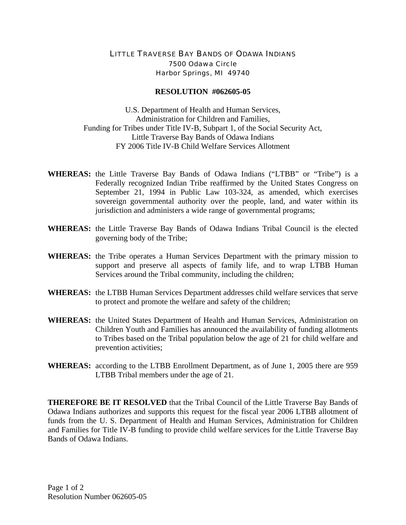## LITTLE TRAVERSE BAY BANDS OF ODAWA INDIANS 7500 Odawa Circle Harbor Springs, MI 49740

## **RESOLUTION #062605-05**

U.S. Department of Health and Human Services, Administration for Children and Families, Funding for Tribes under Title IV-B, Subpart 1, of the Social Security Act, Little Traverse Bay Bands of Odawa Indians FY 2006 Title IV-B Child Welfare Services Allotment

- **WHEREAS:** the Little Traverse Bay Bands of Odawa Indians ("LTBB" or "Tribe") is a Federally recognized Indian Tribe reaffirmed by the United States Congress on September 21, 1994 in Public Law 103-324, as amended, which exercises sovereign governmental authority over the people, land, and water within its jurisdiction and administers a wide range of governmental programs;
- **WHEREAS:** the Little Traverse Bay Bands of Odawa Indians Tribal Council is the elected governing body of the Tribe;
- **WHEREAS:** the Tribe operates a Human Services Department with the primary mission to support and preserve all aspects of family life, and to wrap LTBB Human Services around the Tribal community, including the children;
- **WHEREAS:** the LTBB Human Services Department addresses child welfare services that serve to protect and promote the welfare and safety of the children;
- **WHEREAS:** the United States Department of Health and Human Services, Administration on Children Youth and Families has announced the availability of funding allotments to Tribes based on the Tribal population below the age of 21 for child welfare and prevention activities;
- **WHEREAS:** according to the LTBB Enrollment Department, as of June 1, 2005 there are 959 LTBB Tribal members under the age of 21.

**THEREFORE BE IT RESOLVED** that the Tribal Council of the Little Traverse Bay Bands of Odawa Indians authorizes and supports this request for the fiscal year 2006 LTBB allotment of funds from the U. S. Department of Health and Human Services, Administration for Children and Families for Title IV-B funding to provide child welfare services for the Little Traverse Bay Bands of Odawa Indians.